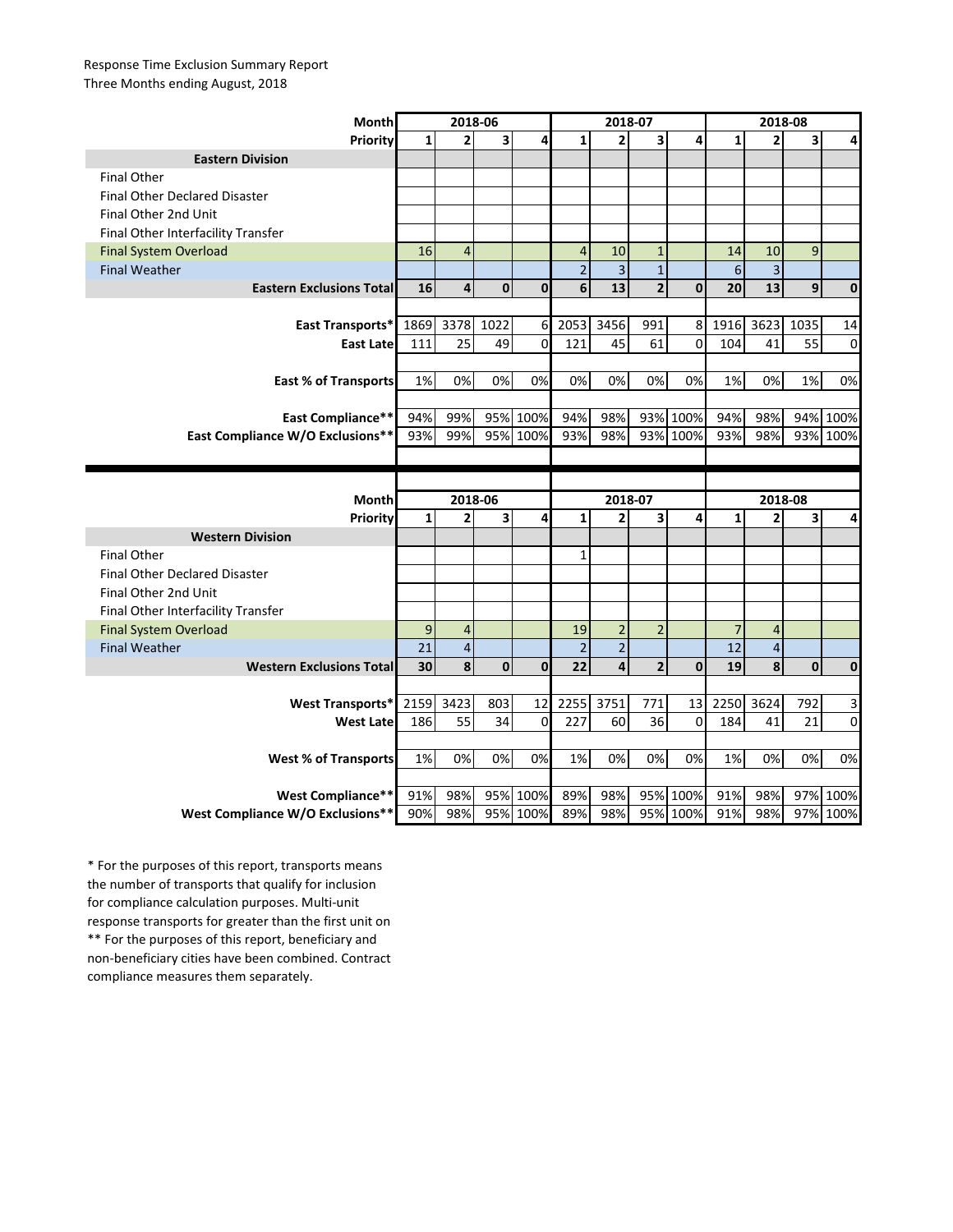## Response Time Exclusion Summary Report Three Months ending August, 2018

| Month                                | 2018-06      |                |             |             | 2018-07        |                |                |              | 2018-08        |                         |          |             |
|--------------------------------------|--------------|----------------|-------------|-------------|----------------|----------------|----------------|--------------|----------------|-------------------------|----------|-------------|
| Priority                             | 1            | $\overline{2}$ | 3           | 4           | $\mathbf{1}$   | $\overline{2}$ | 3              | 4            | $\mathbf{1}$   | $\overline{2}$          | 3        | 4           |
| <b>Eastern Division</b>              |              |                |             |             |                |                |                |              |                |                         |          |             |
| <b>Final Other</b>                   |              |                |             |             |                |                |                |              |                |                         |          |             |
| <b>Final Other Declared Disaster</b> |              |                |             |             |                |                |                |              |                |                         |          |             |
| Final Other 2nd Unit                 |              |                |             |             |                |                |                |              |                |                         |          |             |
| Final Other Interfacility Transfer   |              |                |             |             |                |                |                |              |                |                         |          |             |
| <b>Final System Overload</b>         | 16           | $\overline{4}$ |             |             | $\overline{4}$ | 10             | $\mathbf{1}$   |              | 14             | 10                      | 9        |             |
| <b>Final Weather</b>                 |              |                |             |             | $\overline{2}$ | $\overline{3}$ | $\mathbf{1}$   |              | 6              | 3                       |          |             |
| <b>Eastern Exclusions Total</b>      | 16           | 4              | $\mathbf 0$ | $\mathbf 0$ | 6              | 13             | $\overline{2}$ | $\mathbf{0}$ | 20             | 13                      | 9        | $\mathbf 0$ |
|                                      |              |                |             |             |                |                |                |              |                |                         |          |             |
| East Transports*                     | 1869         | 3378           | 1022        | 6           | 2053           | 3456           | 991            | 8            | 1916           | 3623                    | 1035     | 14          |
| <b>East Late</b>                     | 111          | 25             | 49          | $\mathbf 0$ | 121            | 45             | 61             | 0            | 104            | 41                      | 55       | 0           |
|                                      |              |                |             |             |                |                |                |              |                |                         |          |             |
| <b>East % of Transports</b>          | 1%           | 0%             | 0%          | 0%          | 0%             | 0%             | 0%             | 0%           | $1\%$          | 0%                      | 1%       | 0%          |
|                                      |              |                |             |             |                |                |                |              |                |                         |          |             |
| <b>East Compliance**</b>             | 94%          | 99%            |             | 95% 100%    | 94%            | 98%            |                | 93% 100%     | 94%            | 98%                     | 94%      | 100%        |
| East Compliance W/O Exclusions**     | 93%          | 99%            |             | 95% 100%    | 93%            | 98%            |                | 93% 100%     | 93%            | 98%                     | 93%      | 100%        |
|                                      |              |                |             |             |                |                |                |              |                |                         |          |             |
|                                      |              |                |             |             |                |                |                |              |                |                         |          |             |
|                                      |              |                |             |             |                |                |                |              |                |                         |          |             |
| <b>Month</b>                         |              | 2018-06        |             |             |                | 2018-07        |                |              |                | 2018-08                 |          |             |
| Priority                             | $\mathbf{1}$ | $\mathbf{2}$   | 3           | 4           | 1              | $\overline{2}$ | 3              | 4            | $\mathbf{1}$   | 2                       | 3        | 4           |
| <b>Western Division</b>              |              |                |             |             |                |                |                |              |                |                         |          |             |
| <b>Final Other</b>                   |              |                |             |             | 1              |                |                |              |                |                         |          |             |
| <b>Final Other Declared Disaster</b> |              |                |             |             |                |                |                |              |                |                         |          |             |
| Final Other 2nd Unit                 |              |                |             |             |                |                |                |              |                |                         |          |             |
| Final Other Interfacility Transfer   |              |                |             |             |                |                |                |              |                |                         |          |             |
| <b>Final System Overload</b>         | 9            | $\overline{4}$ |             |             | 19             | $\overline{2}$ | $\overline{2}$ |              | $\overline{7}$ | 4                       |          |             |
| <b>Final Weather</b>                 | 21           | $\overline{4}$ |             |             | $\overline{2}$ | $\overline{2}$ |                |              | 12             | $\overline{\mathbf{4}}$ |          |             |
| <b>Western Exclusions Total</b>      | 30           | 8              | $\mathbf 0$ | $\mathbf 0$ | 22             | 4              | $\overline{2}$ | $\mathbf 0$  | 19             | 8                       | $\bf{0}$ | 0           |
|                                      |              |                |             |             |                |                |                |              |                |                         |          |             |
| <b>West Transports*</b>              | 2159         | 3423           | 803         | 12          | 2255           | 3751           | 771            | 13           | 2250           | 3624                    | 792      | 3           |
| <b>West Late</b>                     | 186          | 55             | 34          | $\mathbf 0$ | 227            | 60             | 36             | $\mathbf 0$  | 184            | 41                      | 21       | 0           |
|                                      |              |                |             |             |                |                |                |              |                |                         |          |             |
| <b>West % of Transports</b>          | 1%           | 0%             | 0%          | 0%          | 1%             | 0%             | 0%             | 0%           | 1%             | 0%                      | 0%       | 0%          |
|                                      |              |                |             |             |                |                |                |              |                |                         |          |             |
| <b>West Compliance**</b>             | 91%          | 98%            |             | 95% 100%    | 89%            | 98%            |                | 95% 100%     | 91%            | 98%                     | 97%      | 100%        |

\*\* For the purposes of this report, beneficiary and non-beneficiary cities have been combined. Contract compliance measures them separately. \* For the purposes of this report, transports means the number of transports that qualify for inclusion for compliance calculation purposes. Multi-unit response transports for greater than the first unit on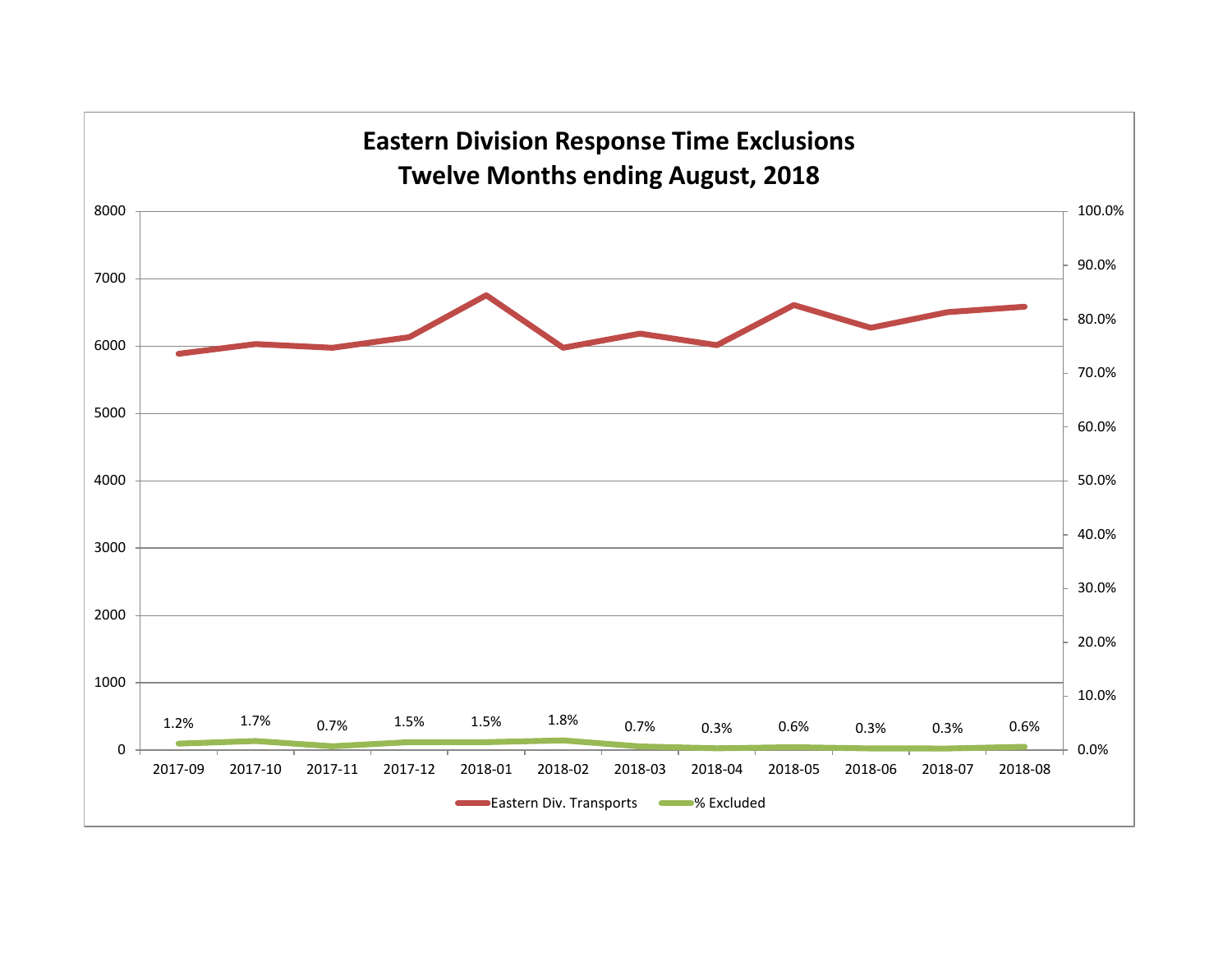